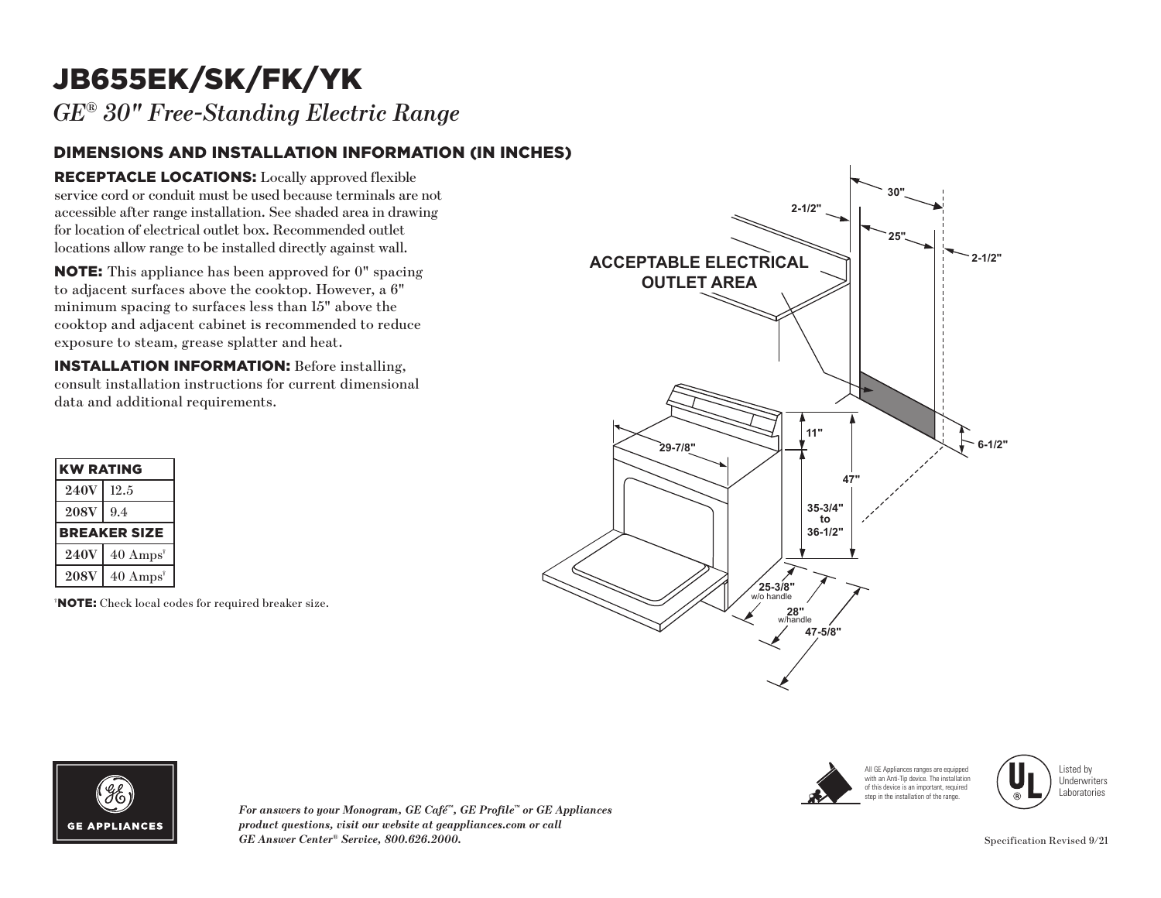## JB655EK/SK/FK/YK

*GE® 30" Free-Standing Electric Range*

## DIMENSIONS AND INSTALLATION INFORMATION (IN INCHES)

RECEPTACLE LOCATIONS: Locally approved flexible service cord or conduit must be used because terminals are not accessible after range installation. See shaded area in drawing for location of electrical outlet box. Recommended outlet locations allow range to be installed directly against wall.

NOTE: This appliance has been approved for 0" spacing to adjacent surfaces above the cooktop. However, a 6" minimum spacing to surfaces less than 15" above the cooktop and adjacent cabinet is recommended to reduce exposure to steam, grease splatter and heat.

INSTALLATION INFORMATION: Before installing, consult installation instructions for current dimensional data and additional requirements.

| <b>KW RATING</b>    |                     |
|---------------------|---------------------|
| <b>240V</b>         | 12.5                |
| <b>208V</b>         | 9.4                 |
| <b>BREAKER SIZE</b> |                     |
| <b>240V</b>         | $40 \text{ Amps}^*$ |
| <b>208V</b>         | $40 \text{ Amps}^*$ |

† NOTE: Check local codes for required breaker size.









*For answers to your Monogram, GE Café™, GE Profile™ or GE Appliances product questions, visit our website at geappliances.com or call GE Answer Center® Service, 800.626.2000.* Specification Revised 9/21